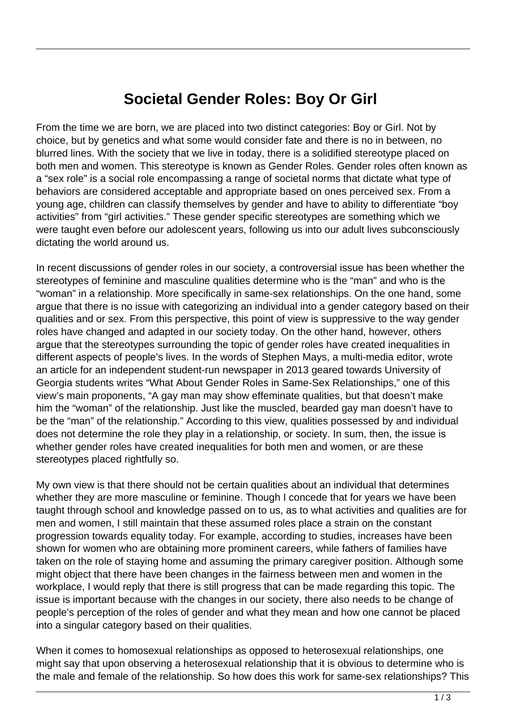## **Societal Gender Roles: Boy Or Girl**

From the time we are born, we are placed into two distinct categories: Boy or Girl. Not by choice, but by genetics and what some would consider fate and there is no in between, no blurred lines. With the society that we live in today, there is a solidified stereotype placed on both men and women. This stereotype is known as Gender Roles. Gender roles often known as a "sex role" is a social role encompassing a range of societal norms that dictate what type of behaviors are considered acceptable and appropriate based on ones perceived sex. From a young age, children can classify themselves by gender and have to ability to differentiate "boy activities" from "girl activities." These gender specific stereotypes are something which we were taught even before our adolescent years, following us into our adult lives subconsciously dictating the world around us.

In recent discussions of gender roles in our society, a controversial issue has been whether the stereotypes of feminine and masculine qualities determine who is the "man" and who is the "woman" in a relationship. More specifically in same-sex relationships. On the one hand, some argue that there is no issue with categorizing an individual into a gender category based on their qualities and or sex. From this perspective, this point of view is suppressive to the way gender roles have changed and adapted in our society today. On the other hand, however, others argue that the stereotypes surrounding the topic of gender roles have created inequalities in different aspects of people's lives. In the words of Stephen Mays, a multi-media editor, wrote an article for an independent student-run newspaper in 2013 geared towards University of Georgia students writes "What About Gender Roles in Same-Sex Relationships," one of this view's main proponents, "A gay man may show effeminate qualities, but that doesn't make him the "woman" of the relationship. Just like the muscled, bearded gay man doesn't have to be the "man" of the relationship." According to this view, qualities possessed by and individual does not determine the role they play in a relationship, or society. In sum, then, the issue is whether gender roles have created inequalities for both men and women, or are these stereotypes placed rightfully so.

My own view is that there should not be certain qualities about an individual that determines whether they are more masculine or feminine. Though I concede that for years we have been taught through school and knowledge passed on to us, as to what activities and qualities are for men and women, I still maintain that these assumed roles place a strain on the constant progression towards equality today. For example, according to studies, increases have been shown for women who are obtaining more prominent careers, while fathers of families have taken on the role of staying home and assuming the primary caregiver position. Although some might object that there have been changes in the fairness between men and women in the workplace, I would reply that there is still progress that can be made regarding this topic. The issue is important because with the changes in our society, there also needs to be change of people's perception of the roles of gender and what they mean and how one cannot be placed into a singular category based on their qualities.

When it comes to homosexual relationships as opposed to heterosexual relationships, one might say that upon observing a heterosexual relationship that it is obvious to determine who is the male and female of the relationship. So how does this work for same-sex relationships? This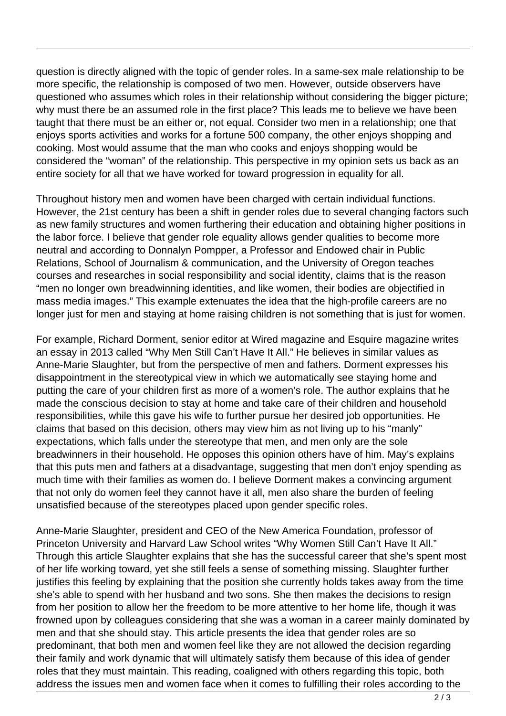question is directly aligned with the topic of gender roles. In a same-sex male relationship to be more specific, the relationship is composed of two men. However, outside observers have questioned who assumes which roles in their relationship without considering the bigger picture; why must there be an assumed role in the first place? This leads me to believe we have been taught that there must be an either or, not equal. Consider two men in a relationship; one that enjoys sports activities and works for a fortune 500 company, the other enjoys shopping and cooking. Most would assume that the man who cooks and enjoys shopping would be considered the "woman" of the relationship. This perspective in my opinion sets us back as an entire society for all that we have worked for toward progression in equality for all.

Throughout history men and women have been charged with certain individual functions. However, the 21st century has been a shift in gender roles due to several changing factors such as new family structures and women furthering their education and obtaining higher positions in the labor force. I believe that gender role equality allows gender qualities to become more neutral and according to Donnalyn Pompper, a Professor and Endowed chair in Public Relations, School of Journalism & communication, and the University of Oregon teaches courses and researches in social responsibility and social identity, claims that is the reason "men no longer own breadwinning identities, and like women, their bodies are objectified in mass media images." This example extenuates the idea that the high-profile careers are no longer just for men and staying at home raising children is not something that is just for women.

For example, Richard Dorment, senior editor at Wired magazine and Esquire magazine writes an essay in 2013 called "Why Men Still Can't Have It All." He believes in similar values as Anne-Marie Slaughter, but from the perspective of men and fathers. Dorment expresses his disappointment in the stereotypical view in which we automatically see staying home and putting the care of your children first as more of a women's role. The author explains that he made the conscious decision to stay at home and take care of their children and household responsibilities, while this gave his wife to further pursue her desired job opportunities. He claims that based on this decision, others may view him as not living up to his "manly" expectations, which falls under the stereotype that men, and men only are the sole breadwinners in their household. He opposes this opinion others have of him. May's explains that this puts men and fathers at a disadvantage, suggesting that men don't enjoy spending as much time with their families as women do. I believe Dorment makes a convincing argument that not only do women feel they cannot have it all, men also share the burden of feeling unsatisfied because of the stereotypes placed upon gender specific roles.

Anne-Marie Slaughter, president and CEO of the New America Foundation, professor of Princeton University and Harvard Law School writes "Why Women Still Can't Have It All." Through this article Slaughter explains that she has the successful career that she's spent most of her life working toward, yet she still feels a sense of something missing. Slaughter further justifies this feeling by explaining that the position she currently holds takes away from the time she's able to spend with her husband and two sons. She then makes the decisions to resign from her position to allow her the freedom to be more attentive to her home life, though it was frowned upon by colleagues considering that she was a woman in a career mainly dominated by men and that she should stay. This article presents the idea that gender roles are so predominant, that both men and women feel like they are not allowed the decision regarding their family and work dynamic that will ultimately satisfy them because of this idea of gender roles that they must maintain. This reading, coaligned with others regarding this topic, both address the issues men and women face when it comes to fulfilling their roles according to the